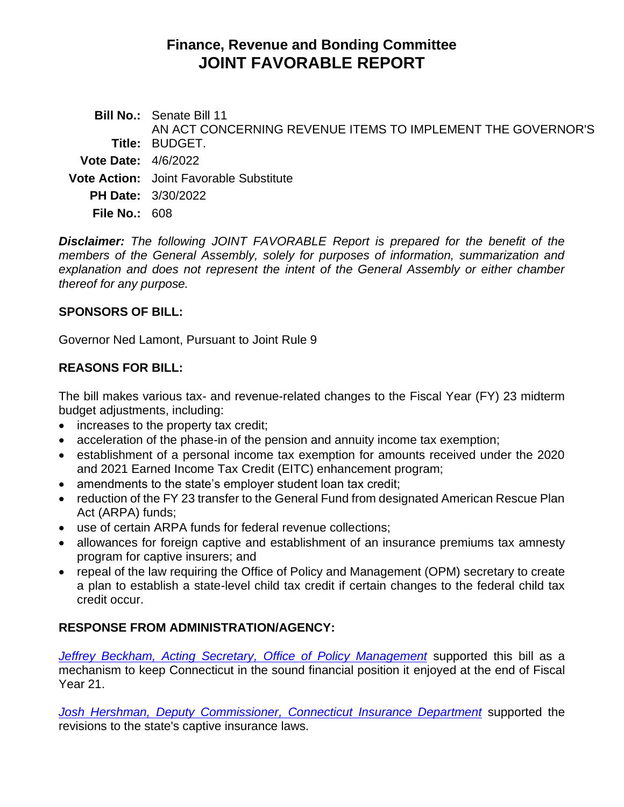# **Finance, Revenue and Bonding Committee JOINT FAVORABLE REPORT**

| Title: BUDGET.<br><b>Vote Date:</b> $4/6/2022$<br><b>Vote Action:</b> Joint Favorable Substitute<br><b>PH Date: 3/30/2022</b> | <b>Bill No.:</b> Senate Bill 11                             |
|-------------------------------------------------------------------------------------------------------------------------------|-------------------------------------------------------------|
|                                                                                                                               | AN ACT CONCERNING REVENUE ITEMS TO IMPLEMENT THE GOVERNOR'S |
|                                                                                                                               |                                                             |
|                                                                                                                               |                                                             |
|                                                                                                                               |                                                             |
|                                                                                                                               |                                                             |

**File No.:** 608

*Disclaimer: The following JOINT FAVORABLE Report is prepared for the benefit of the members of the General Assembly, solely for purposes of information, summarization and explanation and does not represent the intent of the General Assembly or either chamber thereof for any purpose.*

### **SPONSORS OF BILL:**

Governor Ned Lamont, Pursuant to Joint Rule 9

# **REASONS FOR BILL:**

The bill makes various tax- and revenue-related changes to the Fiscal Year (FY) 23 midterm budget adjustments, including:

- increases to the property tax credit;
- acceleration of the phase-in of the pension and annuity income tax exemption;
- establishment of a personal income tax exemption for amounts received under the 2020 and 2021 Earned Income Tax Credit (EITC) enhancement program;
- amendments to the state's employer student loan tax credit;
- reduction of the FY 23 transfer to the General Fund from designated American Rescue Plan Act (ARPA) funds;
- use of certain ARPA funds for federal revenue collections;
- allowances for foreign captive and establishment of an insurance premiums tax amnesty program for captive insurers; and
- repeal of the law requiring the Office of Policy and Management (OPM) secretary to create a plan to establish a state-level child tax credit if certain changes to the federal child tax credit occur.

# **RESPONSE FROM ADMINISTRATION/AGENCY:**

*[Jeffrey Beckham, Acting Secretary, Office of Policy Management](https://cga.ct.gov/2022/FINdata/Tmy/2022SB-00011-R000330-Beckham,%20Jeffrey,%20Acting%20Secretary,%20Office%20of%20Policy%20Management%20-%20Support-TMY.PDF)* supported this bill as a mechanism to keep Connecticut in the sound financial position it enjoyed at the end of Fiscal Year 21.

*[Josh Hershman, Deputy Commissioner, Connecticut Insurance Department](https://cga.ct.gov/2022/FINdata/Tmy/2022SB-00011-R000330-Hershman,%20Josh,%20Deputy%20Commissioner,%20Connecticut%20Insurance%20Department%20-%20Support-TMY.PDF)* supported the revisions to the state's captive insurance laws.